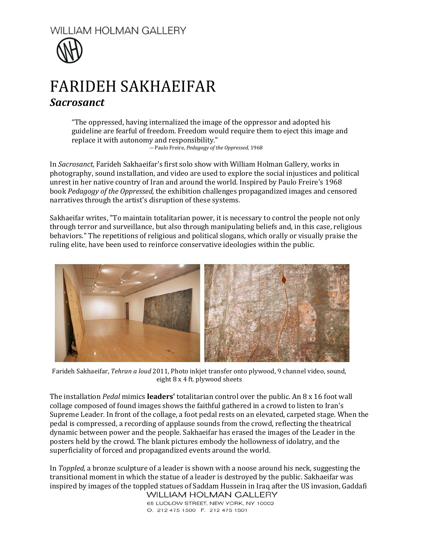



## FARIDEH SAKHAEIFAR *Sacrosanct*

"The oppressed, having internalized the image of the oppressor and adopted his guideline are fearful of freedom. Freedom would require them to eject this image and replace it with autonomy and responsibility."

― [Paulo Freire,](http://www.goodreads.com/author/show/41108.Paulo_Freire) *[Pedagogy of the Oppressed](http://www.goodreads.com/work/quotes/915602)*, 1968

In *Sacrosanct,* Farideh Sakhaeifar's first solo show with William Holman Gallery, works in photography, sound installation, and video are used to explore the social injustices and political unrest in her native country of Iran and around the world. Inspired by Paulo Freire's 1968 book *Pedagogy of the Oppressed,* the exhibition challenges propagandized images and censored narratives through the artist's disruption of these systems.

Sakhaeifar writes, "To maintain totalitarian power, it is necessary to control the people not only through terror and surveillance, but also through manipulating beliefs and, in this case, religious behaviors." The repetitions of religious and political slogans, which orally or visually praise the ruling elite, have been used to reinforce conservative ideologies within the public.



Farideh Sakhaeifar, *Tehran a loud* 2011, Photo inkjet transfer onto plywood, 9 channel video, sound, eight 8 x 4 ft. plywood sheets

The installation *Pedal* mimics **leaders'** totalitarian control over the public. An 8 x 16 foot wall collage composed of found images shows the faithful gathered in a crowd to listen to Iran's Supreme Leader. In front of the collage, a foot pedal rests on an elevated, carpeted stage. When the pedal is compressed, a recording of applause sounds from the crowd, reflecting the theatrical dynamic between power and the people. Sakhaeifar has erased the images of the Leader in the posters held by the crowd. The blank pictures embody the hollowness of idolatry, and the superficiality of forced and propagandized events around the world.

In *Toppled,* a bronze sculpture of a leader is shown with a noose around his neck, suggesting the transitional moment in which the statue of a leader is destroyed by the public. Sakhaeifar was inspired by images of the toppled statues of Saddam Hussein in Iraq after the US invasion, Gaddafi

65 LUDLOW STREET, NEW YORK, NY 10002 O. 212 475 1500 F. 212 475 1501